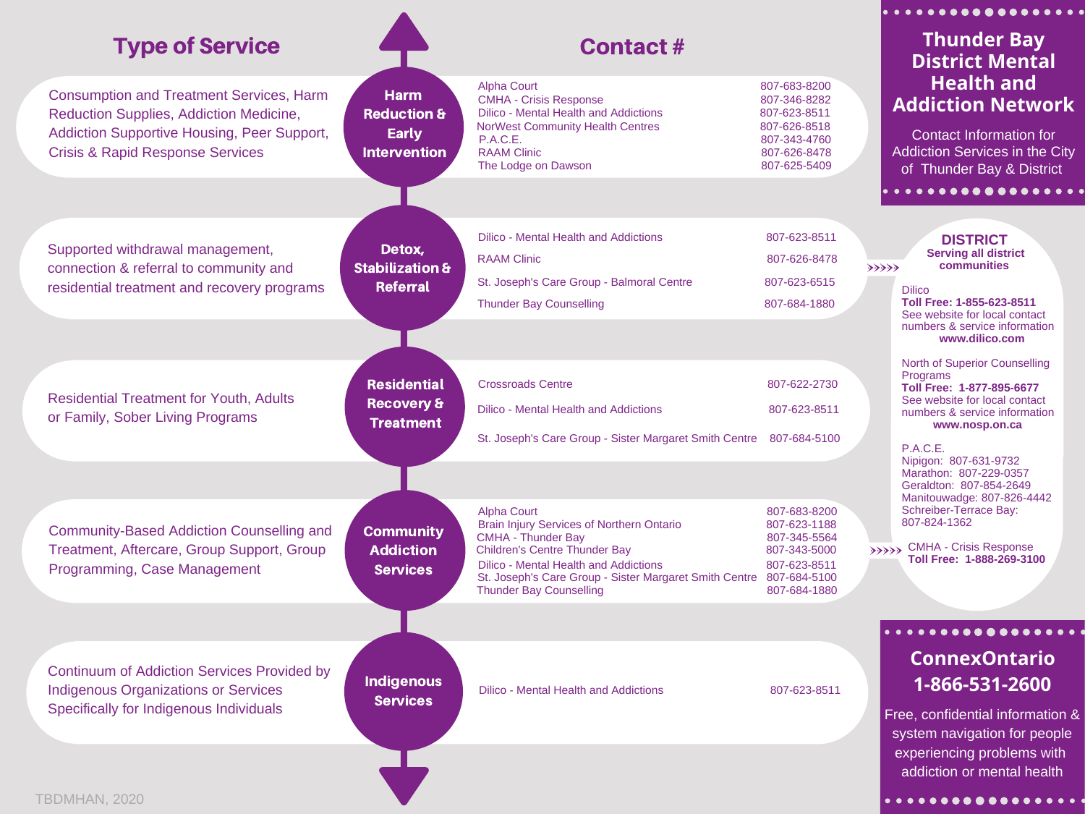|                                                                                            |                                               |                                                                                                       |                                                              | . <b>.</b>                                                                                    |
|--------------------------------------------------------------------------------------------|-----------------------------------------------|-------------------------------------------------------------------------------------------------------|--------------------------------------------------------------|-----------------------------------------------------------------------------------------------|
| <b>Type of Service</b>                                                                     |                                               | <b>Contact#</b>                                                                                       |                                                              | <b>Thunder Bay</b><br><b>District Mental</b>                                                  |
| <b>Consumption and Treatment Services, Harm</b><br>Reduction Supplies, Addiction Medicine, | <b>Harm</b><br><b>Reduction &amp;</b>         | <b>Alpha Court</b><br><b>CMHA - Crisis Response</b><br><b>Dilico - Mental Health and Addictions</b>   | 807-683-8200<br>807-346-8282<br>807-623-8511                 | <b>Health and</b><br><b>Addiction Network</b>                                                 |
| Addiction Supportive Housing, Peer Support,<br><b>Crisis &amp; Rapid Response Services</b> | <b>Early</b><br><b>Intervention</b>           | <b>NorWest Community Health Centres</b><br>P.A.C.E.<br><b>RAAM Clinic</b><br>The Lodge on Dawson      | 807-626-8518<br>807-343-4760<br>807-626-8478<br>807-625-5409 | <b>Contact Information for</b><br>Addiction Services in the City<br>of Thunder Bay & District |
|                                                                                            |                                               |                                                                                                       |                                                              | . <b>.</b>                                                                                    |
|                                                                                            |                                               | Dilico - Mental Health and Addictions                                                                 | 807-623-8511                                                 | <b>DISTRICT</b>                                                                               |
| Supported withdrawal management,                                                           | Detox,                                        | <b>RAAM Clinic</b>                                                                                    | 807-626-8478                                                 | <b>Serving all district</b><br>communities                                                    |
| connection & referral to community and<br>residential treatment and recovery programs      | <b>Stabilization &amp;</b><br><b>Referral</b> | St. Joseph's Care Group - Balmoral Centre                                                             | 807-623-6515                                                 | $\rightarrow$<br><b>Dilico</b>                                                                |
|                                                                                            |                                               | <b>Thunder Bay Counselling</b>                                                                        | 807-684-1880                                                 | Toll Free: 1-855-623-8511<br>See website for local contact                                    |
|                                                                                            |                                               |                                                                                                       |                                                              | numbers & service information<br>www.dilico.com                                               |
|                                                                                            |                                               |                                                                                                       |                                                              | North of Superior Counselling<br>Programs                                                     |
| <b>Residential Treatment for Youth, Adults</b>                                             | <b>Residential</b><br><b>Recovery &amp;</b>   | <b>Crossroads Centre</b>                                                                              | 807-622-2730                                                 | Toll Free: 1-877-895-6677<br>See website for local contact                                    |
| or Family, Sober Living Programs                                                           | <b>Treatment</b>                              | Dilico - Mental Health and Addictions                                                                 | 807-623-8511                                                 | numbers & service information<br>www.nosp.on.ca                                               |
|                                                                                            |                                               | St. Joseph's Care Group - Sister Margaret Smith Centre                                                | 807-684-5100                                                 | P.A.C.E.                                                                                      |
|                                                                                            |                                               |                                                                                                       |                                                              | Nipigon: 807-631-9732<br>Marathon: 807-229-0357<br>Geraldton: 807-854-2649                    |
|                                                                                            |                                               | <b>Alpha Court</b>                                                                                    | 807-683-8200                                                 | Manitouwadge: 807-826-4442<br>Schreiber-Terrace Bay:                                          |
| <b>Community-Based Addiction Counselling and</b>                                           | <b>Community</b>                              | <b>Brain Injury Services of Northern Ontario</b><br><b>CMHA - Thunder Bay</b>                         | 807-623-1188<br>807-345-5564                                 | 807-824-1362                                                                                  |
| Treatment, Aftercare, Group Support, Group                                                 | <b>Addiction</b>                              | <b>Children's Centre Thunder Bay</b><br><b>Dilico - Mental Health and Addictions</b>                  | 807-343-5000<br>807-623-8511                                 | <b>CMHA - Crisis Response</b><br>33333<br>Toll Free: 1-888-269-3100                           |
| Programming, Case Management                                                               | <b>Services</b>                               | St. Joseph's Care Group - Sister Margaret Smith Centre 807-684-5100<br><b>Thunder Bay Counselling</b> | 807-684-1880                                                 |                                                                                               |
|                                                                                            |                                               |                                                                                                       |                                                              |                                                                                               |
|                                                                                            |                                               |                                                                                                       |                                                              | . <b>.</b>                                                                                    |
| Continuum of Addiction Services Provided by                                                |                                               |                                                                                                       |                                                              | <b>ConnexOntario</b>                                                                          |
| <b>Indigenous Organizations or Services</b>                                                | <b>Indigenous</b><br><b>Services</b>          | Dilico - Mental Health and Addictions                                                                 | 807-623-8511                                                 | 1-866-531-2600                                                                                |
| Specifically for Indigenous Individuals                                                    |                                               |                                                                                                       |                                                              | Free, confidential information &                                                              |
|                                                                                            |                                               |                                                                                                       |                                                              | system navigation for people<br>experiencing problems with                                    |
|                                                                                            |                                               |                                                                                                       |                                                              | addiction or mental health                                                                    |
|                                                                                            |                                               |                                                                                                       |                                                              |                                                                                               |

v

TBDMHAN, 2020

 $|\bullet\hspace{0.1cm} \bullet\hspace{0.1cm} \bullet\hspace{0.1cm} \bullet\hspace{0.1cm} \bullet\hspace{0.1cm} \bullet\hspace{0.1cm} \bullet\hspace{0.1cm} \bullet\hspace{0.1cm} \bullet\hspace{0.1cm} \bullet\hspace{0.1cm} \bullet\hspace{0.1cm} \bullet\hspace{0.1cm} \bullet\hspace{0.1cm} \bullet\hspace{0.1cm} \bullet\hspace{0.1cm} \bullet\hspace{0.1cm} \bullet\hspace{0.1cm} \bullet\hspace{0.1cm} \bullet\hspace{0.1cm} \bullet\hspace{0.1cm}$